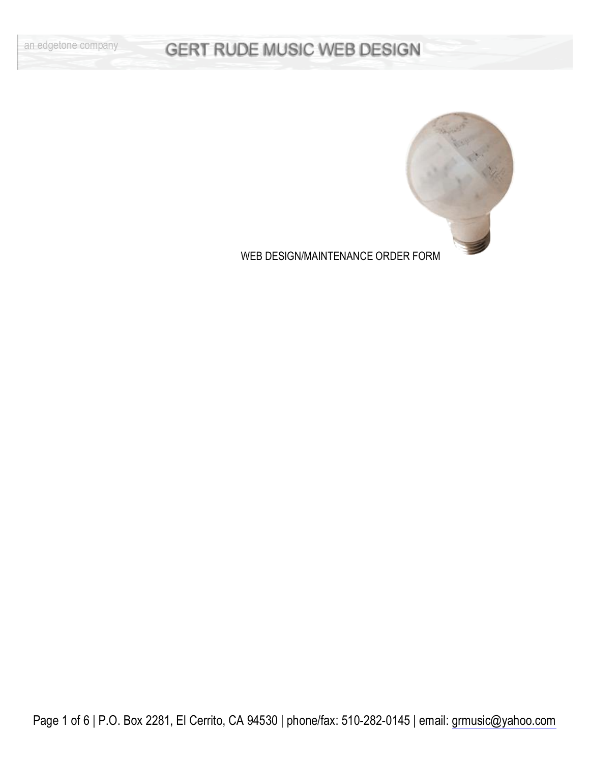

WEB DESIGN/MAINTENANCE ORDER FORM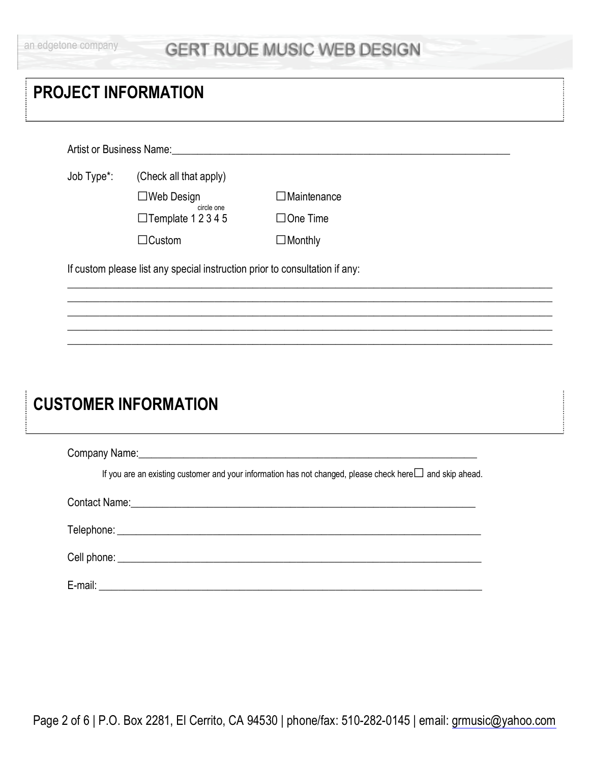|  |  |  | an edgetone company |
|--|--|--|---------------------|

| (Check all that apply)<br>Job Type*:<br>$\Box$ Web Design<br>$\Box$ Maintenance<br>circle one<br>$\Box$ Template 12345<br>$\Box$ One Time |
|-------------------------------------------------------------------------------------------------------------------------------------------|
|                                                                                                                                           |
|                                                                                                                                           |
|                                                                                                                                           |
| $\Box$ Custom<br>$\Box$ Monthly                                                                                                           |
| If custom please list any special instruction prior to consultation if any:                                                               |

# **CUSTOMER INFORMATION**

| If you are an existing customer and your information has not changed, please check here $\square$ and skip ahead. |
|-------------------------------------------------------------------------------------------------------------------|
|                                                                                                                   |
|                                                                                                                   |
|                                                                                                                   |
| E-mail:                                                                                                           |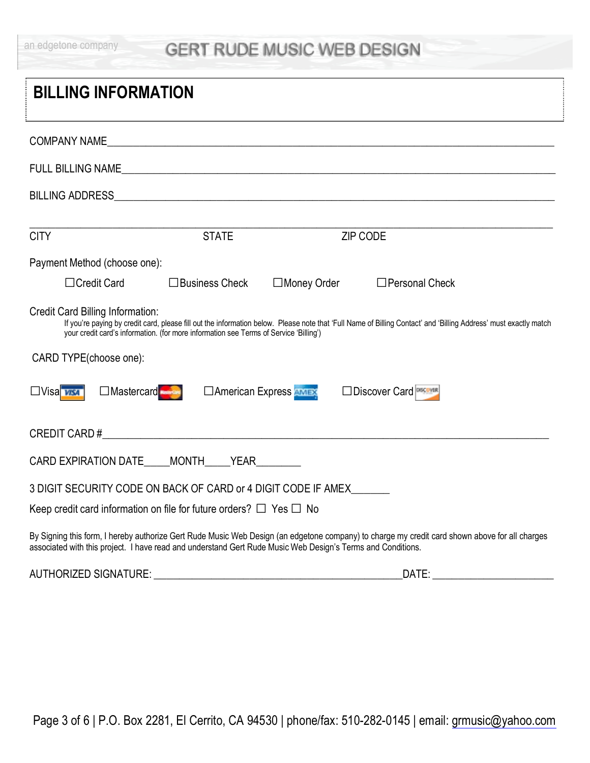|  |  |  | an edgetone company |
|--|--|--|---------------------|

| <b>BILLING INFORMATION</b>                                                                                                                                                                                                                                                                    |  |  |  |  |  |
|-----------------------------------------------------------------------------------------------------------------------------------------------------------------------------------------------------------------------------------------------------------------------------------------------|--|--|--|--|--|
| COMPANY NAME                                                                                                                                                                                                                                                                                  |  |  |  |  |  |
|                                                                                                                                                                                                                                                                                               |  |  |  |  |  |
|                                                                                                                                                                                                                                                                                               |  |  |  |  |  |
| <b>CITY</b><br><b>STATE</b><br>ZIP CODE                                                                                                                                                                                                                                                       |  |  |  |  |  |
|                                                                                                                                                                                                                                                                                               |  |  |  |  |  |
| Payment Method (choose one):                                                                                                                                                                                                                                                                  |  |  |  |  |  |
| □Credit Card<br>$\Box$ Business Check<br>□Money Order<br>$\Box$ Personal Check                                                                                                                                                                                                                |  |  |  |  |  |
| Credit Card Billing Information:<br>If you're paying by credit card, please fill out the information below. Please note that 'Full Name of Billing Contact' and 'Billing Address' must exactly match<br>your credit card's information. (for more information see Terms of Service 'Billing') |  |  |  |  |  |
| CARD TYPE(choose one):                                                                                                                                                                                                                                                                        |  |  |  |  |  |
| □Mastercard<br>□ American Express AMEX<br><b>IDiscover Card</b><br>$\Box$ Visa $\boxed{\text{WSA}}$                                                                                                                                                                                           |  |  |  |  |  |
|                                                                                                                                                                                                                                                                                               |  |  |  |  |  |
| CARD EXPIRATION DATE MONTH YEAR                                                                                                                                                                                                                                                               |  |  |  |  |  |
| 3 DIGIT SECURITY CODE ON BACK OF CARD or 4 DIGIT CODE IF AMEX                                                                                                                                                                                                                                 |  |  |  |  |  |
| Keep credit card information on file for future orders? $\Box$ Yes $\Box$ No                                                                                                                                                                                                                  |  |  |  |  |  |
| By Signing this form, I hereby authorize Gert Rude Music Web Design (an edgetone company) to charge my credit card shown above for all charges<br>associated with this project. I have read and understand Gert Rude Music Web Design's Terms and Conditions.                                 |  |  |  |  |  |

AUTHORIZED SIGNATURE: \_\_\_\_\_\_\_\_\_\_\_\_\_\_\_\_\_\_\_\_\_\_\_\_\_\_\_\_\_\_\_\_\_\_\_\_\_\_\_DATE: \_\_\_\_\_\_\_\_\_\_\_\_\_\_\_\_\_\_\_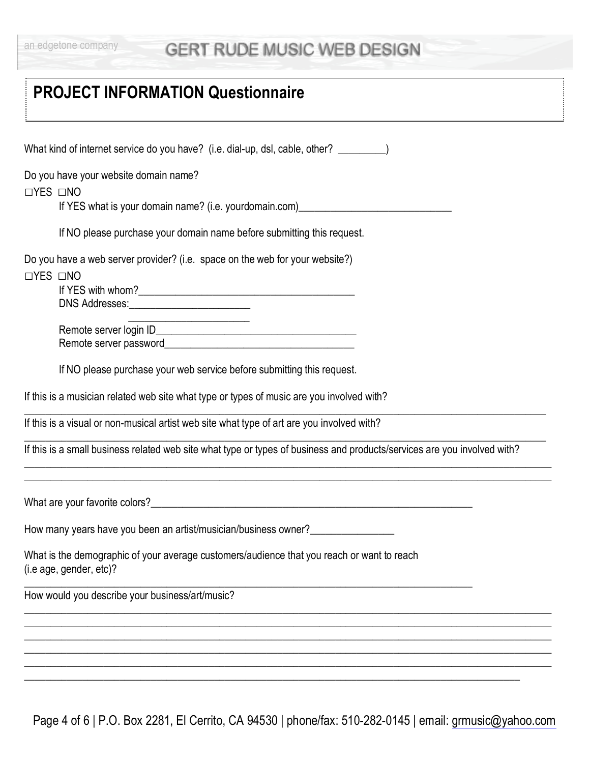# **PROJECT INFORMATION Questionnaire**

| What kind of internet service do you have? (i.e. dial-up, dsl, cable, other? ________)                                   |
|--------------------------------------------------------------------------------------------------------------------------|
|                                                                                                                          |
| Do you have your website domain name?<br><b>□YES □NO</b>                                                                 |
| If YES what is your domain name? (i.e. yourdomain.com)__________________________                                         |
| If NO please purchase your domain name before submitting this request.                                                   |
| Do you have a web server provider? (i.e. space on the web for your website?)<br>$\Box$ YES $\Box$ NO                     |
|                                                                                                                          |
| <u> 1989 - Johann John Stone, mensk politik (d. 1989)</u>                                                                |
| If NO please purchase your web service before submitting this request.                                                   |
| If this is a musician related web site what type or types of music are you involved with?                                |
| If this is a visual or non-musical artist web site what type of art are you involved with?                               |
| If this is a small business related web site what type or types of business and products/services are you involved with? |
|                                                                                                                          |
| How many years have you been an artist/musician/business owner?                                                          |
| What is the demographic of your average customers/audience that you reach or want to reach<br>(i.e age, gender, etc)?    |
| How would you describe your business/art/music?                                                                          |
|                                                                                                                          |
|                                                                                                                          |
|                                                                                                                          |
|                                                                                                                          |

Page 4 of 6 | P.O. Box 2281, El Cerrito, CA 94530 | phone/fax: 510-282-0145 | email: [grmusic@yahoo.com](mailto:grmusic@yahoo.com)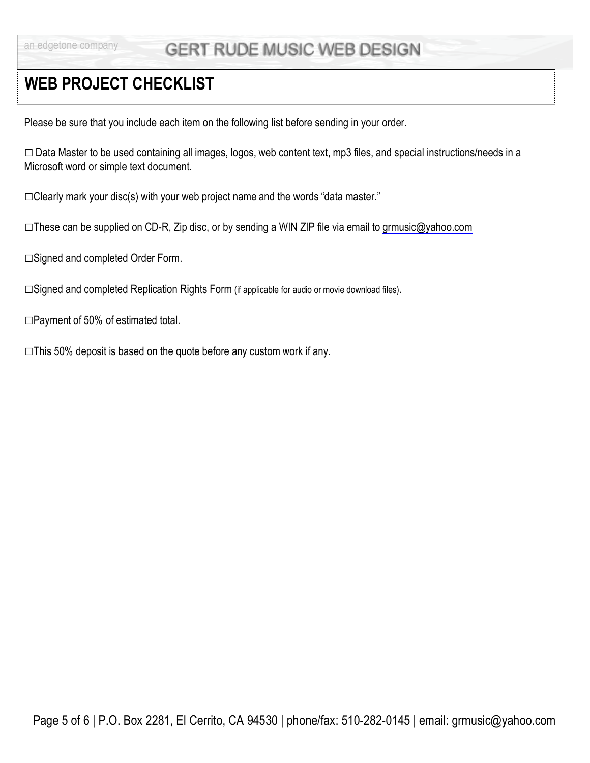## **WEB PROJECT CHECKLIST**

Please be sure that you include each item on the following list before sending in your order.

ƑData Master to be used containing all images, logos, web content text, mp3 files, and special instructions/needs in a Microsoft word or simple text document.

 $\Box$ Clearly mark your disc(s) with your web project name and the words "data master."

 $\square$ These can be supplied on CD-R, Zip disc, or by sending a WIN ZIP file via email to [grmusic@yahoo.com](mailto:grmusic@yahoo.com)

□Signed and completed Order Form.

□Signed and completed Replication Rights Form (if applicable for audio or movie download files).

□Payment of 50% of estimated total.

 $\square$ This 50% deposit is based on the quote before any custom work if any.